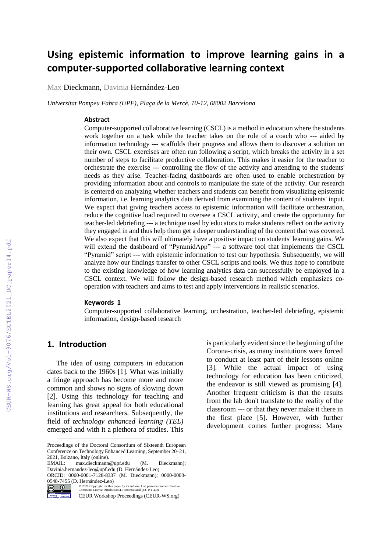# **Using epistemic information to improve learning gains in a computer-supported collaborative learning context**

Max Dieckmann, Davinia Hernández-Leo

*Universitat Pompeu Fabra (UPF), Plaça de la Mercè, 10-12, 08002 Barcelona*

#### **Abstract**

Computer-supported collaborative learning (CSCL) is a method in education where the students work together on a task while the teacher takes on the role of a coach who --- aided by information technology --- scaffolds their progress and allows them to discover a solution on their own. CSCL exercises are often run following a script, which breaks the activity in a set number of steps to facilitate productive collaboration. This makes it easier for the teacher to orchestrate the exercise --- controlling the flow of the activity and attending to the students' needs as they arise. Teacher-facing dashboards are often used to enable orchestration by providing information about and controls to manipulate the state of the activity. Our research is centered on analyzing whether teachers and students can benefit from visualizing epistemic information, i.e. learning analytics data derived from examining the content of students' input. We expect that giving teachers access to epistemic information will facilitate orchestration, reduce the cognitive load required to oversee a CSCL activity, and create the opportunity for teacher-led debriefing --- a technique used by educators to make students reflect on the activity they engaged in and thus help them get a deeper understanding of the content that was covered. We also expect that this will ultimately have a positive impact on students' learning gains. We will extend the dashboard of "PyramidApp" --- a software tool that implements the CSCL "Pyramid" script --- with epistemic information to test our hypothesis. Subsequently, we will analyze how our findings transfer to other CSCL scripts and tools. We thus hope to contribute to the existing knowledge of how learning analytics data can successfully be employed in a CSCL context. We will follow the design-based research method which emphasizes cooperation with teachers and aims to test and apply interventions in realistic scenarios.

#### **Keywords 1**

Computer-supported collaborative learning, orchestration, teacher-led debriefing, epistemic information, design-based research

#### **1. Introduction**

The idea of using computers in education dates back to the 1960s [1]. What was initially a fringe approach has become more and more common and shows no signs of slowing down [2]. Using this technology for teaching and learning has great appeal for both educational institutions and researchers. Subsequently, the field of *technology enhanced learning (TEL)* emerged and with it a plethora of studies. This

ORCID: 0000-0001-7128-8337 (M. Dieckmann); 0000-0003-  $\overline{\text{12}}$  (D. Hernández-Leo)<br>  $\overline{\text{12}}$  ( $\overline{\text{20}}$   $\overline{\text{12}}$  Copyright for this popular Linear Attribution



convenient gotten CEUR Workshop Proceedings (CEUR-WS.org) is particularly evident since the beginning of the Corona-crisis, as many institutions were forced to conduct at least part of their lessons online [3]. While the actual impact of using technology for education has been criticized, the endeavor is still viewed as promising [4]. Another frequent criticism is that the results from the lab don't translate to the reality of the classroom --- or that they never make it there in the first place [5]. However, with further development comes further progress: Many

Proceedings of the Doctoral Consortium of Sixteenth European Conference on Technology Enhanced Learning, September 20–21, 2021, Bolzano, Italy (online).

max.dieckmann@upf.edu (M. Dieckmann); Davinia.hernandez-leo@upf.edu (D. Hernández-Leo)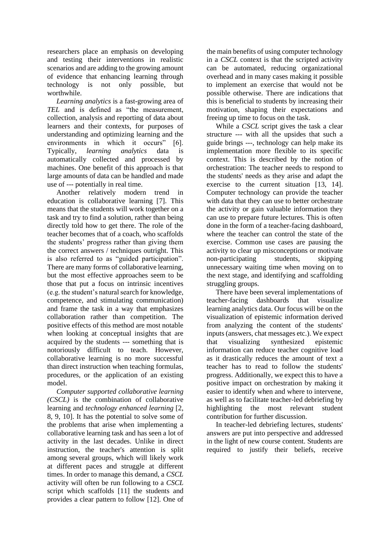researchers place an emphasis on developing and testing their interventions in realistic scenarios and are adding to the growing amount of evidence that enhancing learning through technology is not only possible, but worthwhile.

*Learning analytics* is a fast-growing area of *TEL* and is defined as "the measurement, collection, analysis and reporting of data about learners and their contexts, for purposes of understanding and optimizing learning and the environments in which it occurs" [6]. Typically, *learning analytics* data is automatically collected and processed by machines. One benefit of this approach is that large amounts of data can be handled and made use of --- potentially in real time.

Another relatively modern trend in education is collaborative learning [7]. This means that the students will work together on a task and try to find a solution, rather than being directly told how to get there. The role of the teacher becomes that of a coach, who scaffolds the students' progress rather than giving them the correct answers / techniques outright. This is also referred to as "guided participation". There are many forms of collaborative learning, but the most effective approaches seem to be those that put a focus on intrinsic incentives (e.g. the student's natural search for knowledge, competence, and stimulating communication) and frame the task in a way that emphasizes collaboration rather than competition. The positive effects of this method are most notable when looking at conceptual insights that are acquired by the students --- something that is notoriously difficult to teach. However, collaborative learning is no more successful than direct instruction when teaching formulas, procedures, or the application of an existing model.

*Computer supported collaborative learning (CSCL)* is the combination of collaborative learning and *technology enhanced learning* [2, 8, 9, 10]. It has the potential to solve some of the problems that arise when implementing a collaborative learning task and has seen a lot of activity in the last decades. Unlike in direct instruction, the teacher's attention is split among several groups, which will likely work at different paces and struggle at different times. In order to manage this demand, a *CSCL* activity will often be run following to a *CSCL* script which scaffolds [11] the students and provides a clear pattern to follow [12]. One of

the main benefits of using computer technology in a *CSCL* context is that the scripted activity can be automated, reducing organizational overhead and in many cases making it possible to implement an exercise that would not be possible otherwise. There are indications that this is beneficial to students by increasing their motivation, shaping their expectations and freeing up time to focus on the task.

While a *CSCL* script gives the task a clear structure --- with all the upsides that such a guide brings ---, technology can help make its implementation more flexible to its specific context. This is described by the notion of orchestration: The teacher needs to respond to the students' needs as they arise and adapt the exercise to the current situation [13, 14]. Computer technology can provide the teacher with data that they can use to better orchestrate the activity or gain valuable information they can use to prepare future lectures. This is often done in the form of a teacher-facing dashboard, where the teacher can control the state of the exercise. Common use cases are pausing the activity to clear up misconceptions or motivate non-participating students, skipping unnecessary waiting time when moving on to the next stage, and identifying and scaffolding struggling groups.

There have been several implementations of teacher-facing dashboards that visualize learning analytics data. Our focus will be on the visualization of epistemic information derived from analyzing the content of the students' inputs (answers, chat messages etc.). We expect that visualizing synthesized epistemic information can reduce teacher cognitive load as it drastically reduces the amount of text a teacher has to read to follow the students' progress. Additionally, we expect this to have a positive impact on orchestration by making it easier to identify when and where to intervene, as well as to facilitate teacher-led debriefing by highlighting the most relevant student contribution for further discussion.

In teacher-led debriefing lectures, students' answers are put into perspective and addressed in the light of new course content. Students are required to justify their beliefs, receive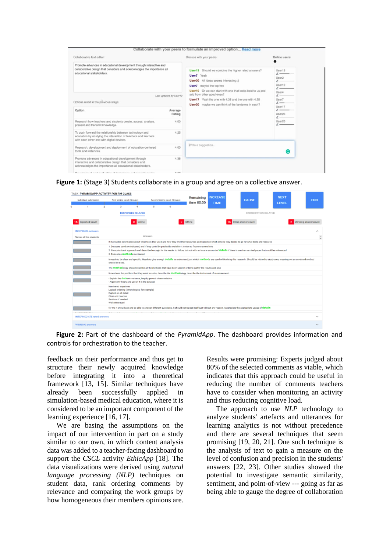| Collaborative text editor:<br>Promote advances in educational development through interactive and<br>collaborative design that considers and acknowledges the importance all<br>educational stakeholders.<br>Last updated by User13<br>Options rated in the provious stage: |      | Discuss with your peers:                                                                                                                                                                                                                                                                                                                           | Online users<br>$\bullet$                                                                                                                                                       |
|-----------------------------------------------------------------------------------------------------------------------------------------------------------------------------------------------------------------------------------------------------------------------------|------|----------------------------------------------------------------------------------------------------------------------------------------------------------------------------------------------------------------------------------------------------------------------------------------------------------------------------------------------------|---------------------------------------------------------------------------------------------------------------------------------------------------------------------------------|
|                                                                                                                                                                                                                                                                             |      | User13 Should we combine the higher rated answers?<br>User7 Yeah<br>User20 All ideas seems interesting :)<br><b>User7</b> maybe the top two<br>User10 Or we can start with one that looks best to us and<br>add from other good ones?<br>User17 Yeah the one with 4.38 and the one with 4.25<br>User20 maybe we can think of the keyterms in each? | User13<br>$\overline{\phantom{a}}$<br>User <sub>2</sub><br>$\overline{\phantom{a}}$<br>User10<br>$\overline{\phantom{a}}$<br>User4<br>$\iota$ .<br>User7<br>$\iota$ —<br>User17 |
|                                                                                                                                                                                                                                                                             |      |                                                                                                                                                                                                                                                                                                                                                    |                                                                                                                                                                                 |
| Research how teachers and students create, access, analyse,<br>present and transmit knowledge.                                                                                                                                                                              | 4.00 |                                                                                                                                                                                                                                                                                                                                                    | User20<br>$\sqrt{ }$                                                                                                                                                            |
| To push forward the relationship between technology and<br>education by studying the interaction of teachers and learners<br>with each other and with digital devices.                                                                                                      | 4.25 |                                                                                                                                                                                                                                                                                                                                                    |                                                                                                                                                                                 |
| Research, development and deployment of education-centered<br>tools and instances.                                                                                                                                                                                          | 4.00 | Write a suggestion                                                                                                                                                                                                                                                                                                                                 | c                                                                                                                                                                               |
| Promote advances in educational development through<br>interactive and collaborative design that considers and<br>acknowledges the importance all educational stakeholders.                                                                                                 | 4.38 |                                                                                                                                                                                                                                                                                                                                                    |                                                                                                                                                                                 |
| Douglasment and oughining of technology enhanced logging                                                                                                                                                                                                                    | 0.05 |                                                                                                                                                                                                                                                                                                                                                    |                                                                                                                                                                                 |

**Figure 1:** (Stage 3) Students collaborate in a group and agree on a collective answer.



**Figure 2:** Part of the dashboard of the *PyramidApp*. The dashboard provides information and controls for orchestration to the teacher.

feedback on their performance and thus get to structure their newly acquired knowledge before integrating it into a theoretical framework [13, 15]. Similar techniques have already been successfully applied in simulation-based medical education, where it is considered to be an important component of the learning experience [16, 17].

We are basing the assumptions on the impact of our intervention in part on a study similar to our own, in which content analysis data was added to a teacher-facing dashboard to support the *CSCL* activity *EthicApp* [18]. The data visualizations were derived using *natural language processing (NLP)* techniques on student data, rank ordering comments by relevance and comparing the work groups by how homogeneous their members opinions are.

Results were promising: Experts judged about 80% of the selected comments as viable, which indicates that this approach could be useful in reducing the number of comments teachers have to consider when monitoring an activity and thus reducing cognitive load.

The approach to use *NLP* technology to analyze students' artefacts and utterances for learning analytics is not without precedence and there are several techniques that seem promising [19, 20, 21]. One such technique is the analysis of text to gain a measure on the level of confusion and precision in the students' answers [22, 23]. Other studies showed the potential to investigate semantic similarity, sentiment, and point-of-view --- going as far as being able to gauge the degree of collaboration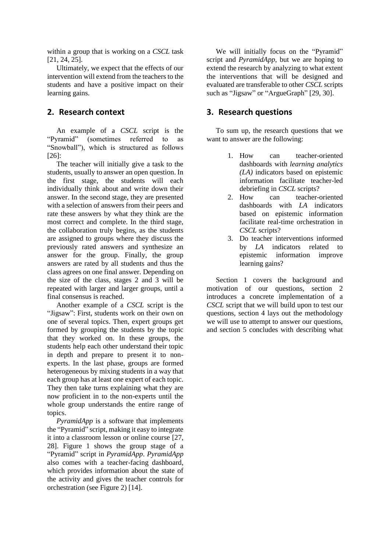within a group that is working on a *CSCL* task [21, 24, 25].

Ultimately, we expect that the effects of our intervention will extend from the teachers to the students and have a positive impact on their learning gains.

#### **2. Research context**

An example of a *CSCL* script is the "Pyramid" (sometimes referred to as "Snowball"), which is structured as follows [26]:

The teacher will initially give a task to the students, usually to answer an open question. In the first stage, the students will each individually think about and write down their answer. In the second stage, they are presented with a selection of answers from their peers and rate these answers by what they think are the most correct and complete. In the third stage, the collaboration truly begins, as the students are assigned to groups where they discuss the previously rated answers and synthesize an answer for the group. Finally, the group answers are rated by all students and thus the class agrees on one final answer. Depending on the size of the class, stages 2 and 3 will be repeated with larger and larger groups, until a final consensus is reached.

Another example of a *CSCL* script is the "Jigsaw": First, students work on their own on one of several topics. Then, expert groups get formed by grouping the students by the topic that they worked on. In these groups, the students help each other understand their topic in depth and prepare to present it to nonexperts. In the last phase, groups are formed heterogeneous by mixing students in a way that each group has at least one expert of each topic. They then take turns explaining what they are now proficient in to the non-experts until the whole group understands the entire range of topics.

*PyramidApp* is a software that implements the "Pyramid" script, making it easy to integrate it into a classroom lesson or online course [27, 28]. Figure 1 shows the group stage of a "Pyramid" script in *PyramidApp*. *PyramidApp* also comes with a teacher-facing dashboard, which provides information about the state of the activity and gives the teacher controls for orchestration (see Figure 2) [14].

We will initially focus on the "Pyramid" script and *PyramidApp*, but we are hoping to extend the research by analyzing to what extent the interventions that will be designed and evaluated are transferable to other *CSCL* scripts such as "Jigsaw" or "ArgueGraph" [29, 30].

#### **3. Research questions**

To sum up, the research questions that we want to answer are the following:

- 1. How can teacher-oriented dashboards with *learning analytics (LA)* indicators based on epistemic information facilitate teacher-led debriefing in *CSCL* scripts?
- 2. How can teacher-oriented dashboards with *LA* indicators based on epistemic information facilitate real-time orchestration in *CSCL* scripts?
- 3. Do teacher interventions informed by *LA* indicators related to epistemic information improve learning gains?

Section 1 covers the background and motivation of our questions, section 2 introduces a concrete implementation of a *CSCL* script that we will build upon to test our questions, section 4 lays out the methodology we will use to attempt to answer our questions, and section 5 concludes with describing what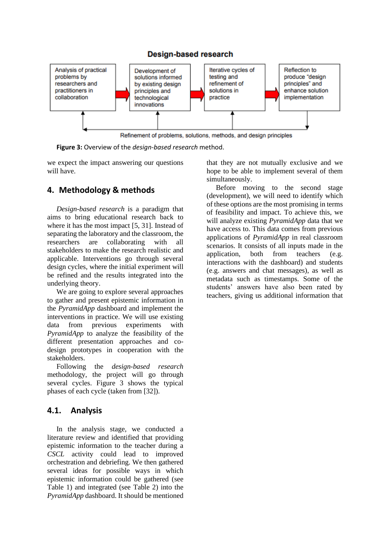

**Figure 3:** Overview of the *design-based research* method.

we expect the impact answering our questions will have.

## **4. Methodology & methods**

*Design-based research* is a paradigm that aims to bring educational research back to where it has the most impact [5, 31]. Instead of separating the laboratory and the classroom, the researchers are collaborating with all stakeholders to make the research realistic and applicable. Interventions go through several design cycles, where the initial experiment will be refined and the results integrated into the underlying theory.

We are going to explore several approaches to gather and present epistemic information in the *PyramidApp* dashboard and implement the interventions in practice. We will use existing data from previous experiments with *PyramidApp* to analyze the feasibility of the different presentation approaches and codesign prototypes in cooperation with the stakeholders.

Following the *design-based research* methodology, the project will go through several cycles. Figure 3 shows the typical phases of each cycle (taken from [32]).

### **4.1. Analysis**

In the analysis stage, we conducted a literature review and identified that providing epistemic information to the teacher during a *CSCL* activity could lead to improved orchestration and debriefing. We then gathered several ideas for possible ways in which epistemic information could be gathered (see Table 1) and integrated (see Table 2) into the *PyramidApp* dashboard. It should be mentioned

that they are not mutually exclusive and we hope to be able to implement several of them simultaneously.

Before moving to the second stage (development), we will need to identify which of these options are the most promising in terms of feasibility and impact. To achieve this, we will analyze existing *PyramidApp* data that we have access to. This data comes from previous applications of *PyramidApp* in real classroom scenarios. It consists of all inputs made in the application, both from teachers (e.g. interactions with the dashboard) and students (e.g. answers and chat messages), as well as metadata such as timestamps. Some of the students' answers have also been rated by teachers, giving us additional information that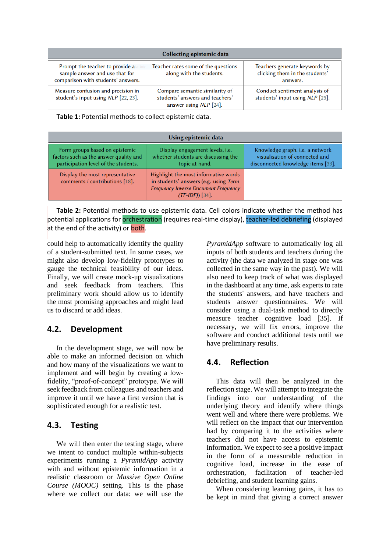| Collecting epistemic data                                                                               |                                                                                             |                                                                             |  |  |  |
|---------------------------------------------------------------------------------------------------------|---------------------------------------------------------------------------------------------|-----------------------------------------------------------------------------|--|--|--|
| Prompt the teacher to provide a<br>sample answer and use that for<br>comparison with students' answers. | Teacher rates some of the questions<br>along with the students.                             | Teachers generate keywords by<br>clicking them in the students'<br>answers. |  |  |  |
| Measure confusion and precision in<br>student's input using NLP [22, 23].                               | Compare semantic similarity of<br>students' answers and teachers'<br>answer using NLP [24]. | Conduct sentiment analysis of<br>students' input using NLP [25].            |  |  |  |

**Table 1:** Potential methods to collect epistemic data.

| Using epistemic data                                                                                             |                                                                                                                                                   |                                                                                                         |  |  |
|------------------------------------------------------------------------------------------------------------------|---------------------------------------------------------------------------------------------------------------------------------------------------|---------------------------------------------------------------------------------------------------------|--|--|
| Form groups based on epistemic<br>factors such as the answer quality and<br>participation level of the students. | Display engagement levels, <i>i.e.</i><br>whether students are discussing the<br>topic at hand.                                                   | Knowledge graph, i.e. a network<br>visualisation of connected and<br>disconnected knowledge items [33]. |  |  |
| Display the most representative<br>comments / contributions [18].                                                | Highlight the most informative words<br>in students' answers (e.g. using Term<br><b>Frequency Inverse Document Frequency</b><br>$(TF-IDF))$ [34]. |                                                                                                         |  |  |

**Table 2:** Potential methods to use epistemic data. Cell colors indicate whether the method has potential applications for orchestration (requires real-time display), teacher-led debriefing (displayed at the end of the activity) or both.

could help to automatically identify the quality of a student-submitted text. In some cases, we might also develop low-fidelity prototypes to gauge the technical feasibility of our ideas. Finally, we will create mock-up visualizations and seek feedback from teachers. This preliminary work should allow us to identify the most promising approaches and might lead us to discard or add ideas.

### **4.2. Development**

In the development stage, we will now be able to make an informed decision on which and how many of the visualizations we want to implement and will begin by creating a lowfidelity, "proof-of-concept" prototype. We will seek feedback from colleagues and teachers and improve it until we have a first version that is sophisticated enough for a realistic test.

### **4.3. Testing**

We will then enter the testing stage, where we intent to conduct multiple within-subjects experiments running a *PyramidApp* activity with and without epistemic information in a realistic classroom or *Massive Open Online Course (MOOC)* setting. This is the phase where we collect our data: we will use the

*PyramidApp* software to automatically log all inputs of both students and teachers during the activity (the data we analyzed in stage one was collected in the same way in the past). We will also need to keep track of what was displayed in the dashboard at any time, ask experts to rate the students' answers, and have teachers and students answer questionnaires. We will consider using a dual-task method to directly measure teacher cognitive load [35]. If necessary, we will fix errors, improve the software and conduct additional tests until we have preliminary results.

### **4.4. Reflection**

This data will then be analyzed in the reflection stage. We will attempt to integrate the findings into our understanding of the underlying theory and identify where things went well and where there were problems. We will reflect on the impact that our intervention had by comparing it to the activities where teachers did not have access to epistemic information. We expect to see a positive impact in the form of a measurable reduction in cognitive load, increase in the ease of orchestration, facilitation of teacher-led debriefing, and student learning gains.

When considering learning gains, it has to be kept in mind that giving a correct answer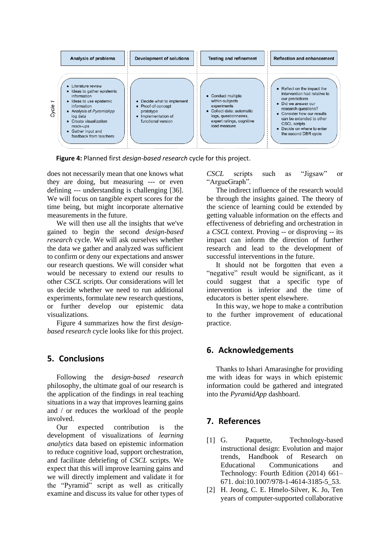

**Figure 4:** Planned first *design-based research* cycle for this project.

does not necessarily mean that one knows what they are doing, but measuring --- or even defining --- understanding is challenging [36]. We will focus on tangible expert scores for the time being, but might incorporate alternative measurements in the future.

We will then use all the insights that we've gained to begin the second *design-based research* cycle. We will ask ourselves whether the data we gather and analyzed was sufficient to confirm or deny our expectations and answer our research questions. We will consider what would be necessary to extend our results to other *CSCL* scripts. Our considerations will let us decide whether we need to run additional experiments, formulate new research questions, or further develop our epistemic data visualizations.

Figure 4 summarizes how the first *designbased research* cycle looks like for this project.

### **5. Conclusions**

Following the *design-based research* philosophy, the ultimate goal of our research is the application of the findings in real teaching situations in a way that improves learning gains and / or reduces the workload of the people involved.

Our expected contribution is the development of visualizations of *learning analytics* data based on epistemic information to reduce cognitive load, support orchestration, and facilitate debriefing of *CSCL* scripts. We expect that this will improve learning gains and we will directly implement and validate it for the "Pyramid" script as well as critically examine and discuss its value for other types of

*CSCL* scripts such as "Jigsaw" or "ArgueGraph".

The indirect influence of the research would be through the insights gained. The theory of the science of learning could be extended by getting valuable information on the effects and effectiveness of debriefing and orchestration in a *CSCL* context. Proving -- or disproving -- its impact can inform the direction of further research and lead to the development of successful interventions in the future.

It should not be forgotten that even a "negative" result would be significant, as it could suggest that a specific type of intervention is inferior and the time of educators is better spent elsewhere.

In this way, we hope to make a contribution to the further improvement of educational practice.

### **6. Acknowledgements**

Thanks to Ishari Amarasinghe for providing me with ideas for ways in which epistemic information could be gathered and integrated into the *PyramidApp* dashboard.

### **7. References**

- [1] G. Paquette, Technology-based instructional design: Evolution and major trends, Handbook of Research on Educational Communications and Technology: Fourth Edition (2014) 661– 671. doi:10.1007/978-1-4614-3185-5\_53.
- [2] H. Jeong, C. E. Hmelo-Silver, K. Jo, Ten years of computer-supported collaborative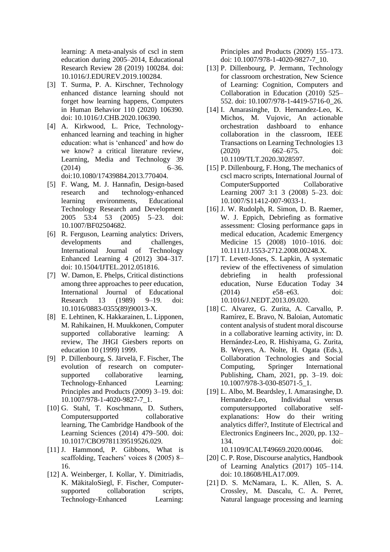learning: A meta-analysis of cscl in stem education during 2005–2014, Educational Research Review 28 (2019) 100284. doi: 10.1016/J.EDUREV.2019.100284.

- [3] T. Surma, P. A. Kirschner, Technology enhanced distance learning should not forget how learning happens, Computers in Human Behavior 110 (2020) 106390. doi: 10.1016/J.CHB.2020.106390.
- [4] A. Kirkwood, L. Price, Technologyenhanced learning and teaching in higher education: what is 'enhanced' and how do we know? a critical literature review, Learning, Media and Technology 39  $(2014)$  6–36. doi:10.1080/17439884.2013.770404.
- [5] F. Wang, M. J. Hannafin, Design-based research and technology-enhanced learning environments, Educational Technology Research and Development 2005 53:4 53 (2005) 5–23. doi: 10.1007/BF02504682.
- [6] R. Ferguson, Learning analytics: Drivers, developments and challenges, International Journal of Technology Enhanced Learning 4 (2012) 304–317. doi: 10.1504/IJTEL.2012.051816.
- [7] W. Damon, E. Phelps, Critical distinctions among three approaches to peer education, International Journal of Educational<br>Research 13 (1989) 9-19 doi: Research 13 (1989) 9–19. doi: 10.1016/0883-0355(89)90013-X.
- [8] E. Lehtinen, K. Hakkarainen, L. Lipponen, M. Rahikainen, H. Muukkonen, Computer supported collaborative learning: A review, The JHGI Giesbers reports on education 10 (1999) 1999.
- [9] P. Dillenbourg, S. Järvelä, F. Fischer, The evolution of research on computersupported collaborative learning, Technology-Enhanced Learning: Principles and Products (2009) 3–19. doi: 10.1007/978-1-4020-9827-7\_1.
- [10] G. Stahl, T. Koschmann, D. Suthers, Computersupported collaborative learning, The Cambridge Handbook of the Learning Sciences (2014) 479–500. doi: 10.1017/CBO9781139519526.029.
- [11] J. Hammond, P. Gibbons, What is scaffolding, Teachers' voices 8 (2005) 8– 16.
- [12] A. Weinberger, I. Kollar, Y. Dimitriadis, K. MäkitaloSiegl, F. Fischer, Computersupported collaboration scripts, Technology-Enhanced Learning:

Principles and Products (2009) 155–173. doi: 10.1007/978-1-4020-9827-7\_10.

- [13] P. Dillenbourg, P. Jermann, Technology for classroom orchestration, New Science of Learning: Cognition, Computers and Collaboration in Education (2010) 525– 552. doi: 10.1007/978-1-4419-5716-0\_26.
- [14] I. Amarasinghe, D. Hernandez-Leo, K. Michos, M. Vujovic, An actionable orchestration dashboard to enhance collaboration in the classroom, IEEE Transactions on Learning Technologies 13 (2020) 662–675. doi: 10.1109/TLT.2020.3028597.
- [15] P. Dillenbourg, F. Hong, The mechanics of cscl macro scripts, International Journal of ComputerSupported Collaborative Learning 2007 3:1 3 (2008) 5–23. doi: 10.1007/S11412-007-9033-1.
- [16] J. W. Rudolph, R. Simon, D. B. Raemer, W. J. Eppich, Debriefing as formative assessment: Closing performance gaps in medical education, Academic Emergency Medicine 15 (2008) 1010–1016. doi: 10.1111/J.1553-2712.2008.00248.X.
- [17] T. Levett-Jones, S. Lapkin, A systematic review of the effectiveness of simulation debriefing in health professional education, Nurse Education Today 34 (2014) e58–e63. doi: 10.1016/J.NEDT.2013.09.020.
- [18] C. Alvarez, G. Zurita, A. Carvallo, P. Ramírez, E. Bravo, N. Baloian, Automatic content analysis of student moral discourse in a collaborative learning activity, in: D. Hernández-Leo, R. Hishiyama, G. Zurita, B. Weyers, A. Nolte, H. Ogata (Eds.), Collaboration Technologies and Social Computing, Springer International Publishing, Cham, 2021, pp. 3–19. doi: 10.1007/978-3-030-85071-5\_1.
- [19] L. Albo, M. Beardsley, I. Amarasinghe, D. Hernandez-Leo, Individual versus computersupported collaborative selfexplanations: How do their writing analytics differ?, Institute of Electrical and Electronics Engineers Inc., 2020, pp. 132– 134. doi:

10.1109/ICALT49669.2020.00046.

- [20] C. P. Rose, Discourse analytics, Handbook of Learning Analytics (2017) 105–114. doi: 10.18608/HLA17.009.
- [21] D. S. McNamara, L. K. Allen, S. A. Crossley, M. Dascalu, C. A. Perret, Natural language processing and learning